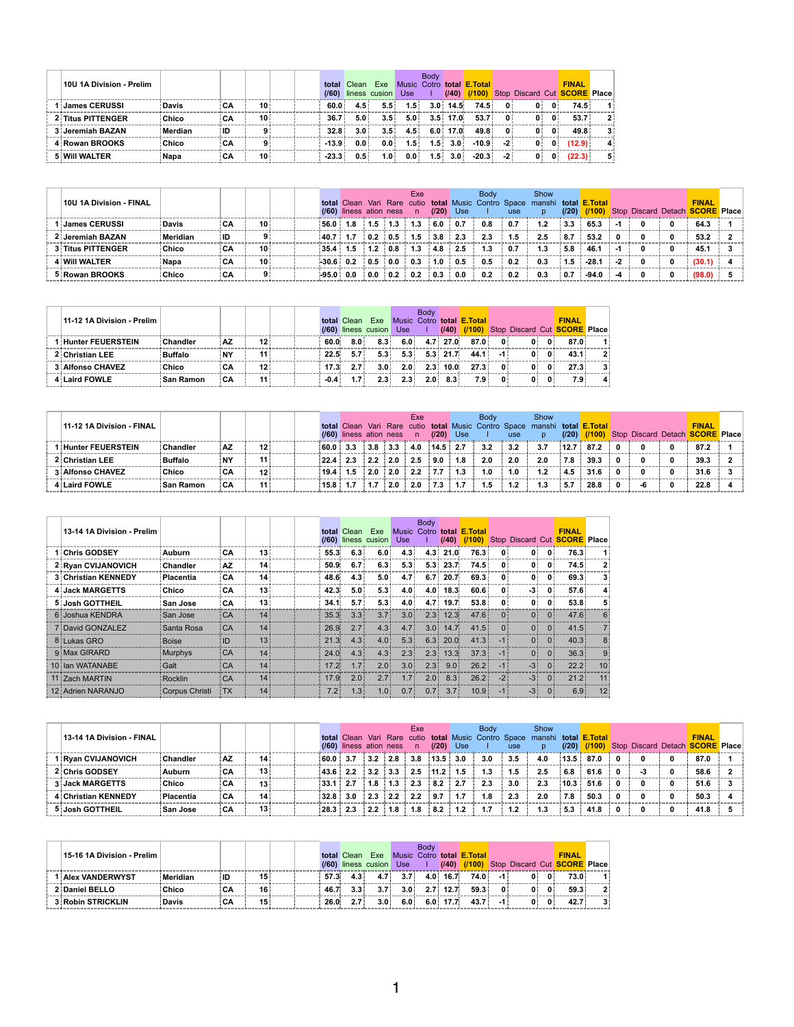| 10U 1A Division - Prelim |              |      |                 |  | (160)             | total Clean      | Exe<br>liness cusion | Use:             | <b>Body</b>      | (140)     | Music Cotro total <b>E.Total</b><br>(1100) |                |                |                | <b>FINAL</b><br>Stop Discard Cut <b>SCORE</b> Place |             |
|--------------------------|--------------|------|-----------------|--|-------------------|------------------|----------------------|------------------|------------------|-----------|--------------------------------------------|----------------|----------------|----------------|-----------------------------------------------------|-------------|
| l i James CERUSSI        | <b>Davis</b> | : CA | 10:             |  | 60.0:             | 4.5:             | 5.5:                 | 1.5 <sup>1</sup> |                  | 3.0:14.5: | 74.5:                                      | $\mathbf{0}$ : | $\mathbf{0}$ : | $\mathbf{0}$ : | 74.5:                                               |             |
| 2: Titus PITTENGER       | : Chico      | ∶CA  | 10:             |  | $36.7^{\circ}$    | 5.0:             | 3.5:                 | 5.0:             |                  | 3.5:17.0  | 53.7:                                      | 0:             | 0:             | $\mathbf{0}$ : | 53.7:                                               | $2^{\circ}$ |
| 3: Jeremiah BAZAN        | Merdian      | ∶ID  |                 |  | 32.8 <sup>1</sup> | 3.0 <sub>1</sub> | 3.5:                 | 4.5 <sup>1</sup> |                  | 6.0:17.0: | 49.8 <sup>1</sup>                          | 0:             | 0:             | $\mathbf{0}$   | 49.8 <sup>1</sup>                                   |             |
| 4: Rowan BROOKS          | Chico        | ∶CA  |                 |  | $-13.9$           | 0.0:             | 0.0:                 | 1.5 <sup>1</sup> | 1.5:             | 3.0:      | $-10.9:$                                   | $-2:$          | $\mathbf{0}$   | $\mathbf{0}$ : | (12.9)                                              |             |
| <b>5: WIII WALTER</b>    | i Napa       | ∶CA  | 10 <sup>1</sup> |  | $-23.3$           | 0.5:             | 1.0 <sup>1</sup>     | $0.0$ :          | 1.5 <sub>1</sub> | 3.0:      | $-20.3:$                                   | $-2^+$         | $\mathbf{0}$   | $\mathbf{0}$   | (22.3)                                              |             |

| <b>10U 1A Division - FINAL</b> |              |     |                 |  | (/60) liness ation ness                                                                                                        |  | Exe<br>$\blacksquare$ | (120)  | Use: | <b>Body</b> | <b>use</b> | Show<br>total Clean Vari Rare cutio total Music Contro Space manshi total <b>E.Total</b> | (20)      | (1100)  |   |  | <b>FINAL</b><br>Stop Discard Detach <b>SCORE</b> Place |  |
|--------------------------------|--------------|-----|-----------------|--|--------------------------------------------------------------------------------------------------------------------------------|--|-----------------------|--------|------|-------------|------------|------------------------------------------------------------------------------------------|-----------|---------|---|--|--------------------------------------------------------|--|
| ∣ i James CERUSSI              | <b>Davis</b> | ∶СА | 10:             |  | $\frac{1}{2}$ 56.0 $\frac{1}{2}$ 1.8 $\frac{1}{2}$ 1.5 $\frac{1}{2}$ 1.3 $\frac{1}{2}$ 1.3 $\frac{1}{2}$ 6.0 $\frac{1}{2}$ 0.7 |  |                       |        |      | 0.8         | 0.7        | 1.2                                                                                      | 3.3       | 65.3    |   |  | 64.3                                                   |  |
| 2: Jeremiah BAZAN              | : Meridian   | ∃ID |                 |  | $\frac{1}{2}$ 40.7 $\frac{1}{2}$ 1.7 $\frac{1}{2}$ 0.2 $\frac{1}{2}$ 0.5 $\frac{1}{2}$ 1.5 $\frac{1}{2}$ 3.8 $\frac{1}{2}$ 2.3 |  |                       |        |      | 2.3         | 1.5        | 2.5                                                                                      | 8.7       | 53.2    | 0 |  | 53.2                                                   |  |
| 3: Titus PITTENGER             | :Chico       | ∶CA | 10 <sup>1</sup> |  | $\frac{135.4}{1.5}$ 1.5 $\frac{1}{2}$ 1.2 $\frac{1}{2}$ 0.8 $\frac{1}{2}$ 1.3 $\frac{1}{2}$ 4.8 $\frac{1}{2}$ 2.5              |  |                       |        |      |             | 0.7        | 1.3                                                                                      | 5.8       | 46.1    |   |  | 45.1                                                   |  |
| <b>4 Will WALTER</b>           | <b>Napa</b>  | ∶CA | $10^{\circ}$    |  | $\frac{1}{2}30.6$ : 0.2 : 0.5 : 0.0 : 0.3                                                                                      |  |                       | $-1.0$ | 0.5  | 0.5         | 0.2        | 0.3                                                                                      | 1.5       | $-28.1$ |   |  | (30.1)                                                 |  |
| 5 Rowan BROOKS                 | : Chico      | ∶CA | 9:              |  | $\frac{1}{2}$ -95.0 $\frac{1}{2}$ 0.0 $\frac{1}{2}$ 0.0 $\frac{1}{2}$ 0.2 $\frac{1}{2}$ 0.3 $\frac{1}{2}$ 0.0                  |  |                       |        |      | 0.2         | $\pm 0.2$  | 0.3                                                                                      | $\pm 0.7$ | $-94.0$ |   |  | (98.0)                                                 |  |

| 11-12 1A Division - Prelim |                |      |                 |  |                   | <b>total</b> Clean | Fxe<br>(60) liness cusion Use |         | <b>Body</b> |           | Music Cotro <b>total E.Total</b><br>$(140)$ $(1100)$ |              |                |              | <b>FINAL</b><br>Stop Discard Cut <b>SCORE</b> Place |  |
|----------------------------|----------------|------|-----------------|--|-------------------|--------------------|-------------------------------|---------|-------------|-----------|------------------------------------------------------|--------------|----------------|--------------|-----------------------------------------------------|--|
| I Hunter FEUERSTEIN        | : Chandler     | : AZ | 12 :            |  | 60.0              | 8.0:               | 8.3 <sup>1</sup>              | 6.0     |             | 4.7:27.0: | 87.0                                                 | $\mathbf{0}$ | $\mathbf{0}$ : | $\mathbf{0}$ | 87.0                                                |  |
| <b>2: Christian LEE</b>    | <b>Buffalo</b> | ÷NY  | 11 :            |  | $22.5^{\circ}$    | 5.7:               | $5.3 -$                       | $5.3 -$ |             | 5.3:21.7: | 44.1                                                 | $-1:$        | $\mathbf{0}$   | $\mathbf{0}$ | 43.1                                                |  |
| 3: Alfonso CHAVEZ          | <b>Chico</b>   | ∶CA  | 12 <sup>1</sup> |  | 17.3 <sub>1</sub> |                    | 3.0 <sup>1</sup>              | 2.0:    |             | 2.3:10.0: | 27.3 <sup>1</sup>                                    | $\mathbf{0}$ | $\mathbf{0}$ : | $\mathbf{0}$ | 27.3 <sup>1</sup>                                   |  |
| <b>4: Laird FOWLE</b>      | ∶San Ramon     | : CA | 11 :            |  | $-0.4:$           |                    | 2.3:                          | 2.3:    | 2.0:        | 8.3:      | 7.9 :                                                |              | $\mathbf{0}$   | 0:           | 7.9:                                                |  |

| 11-12 1A Division - FINAL |             |      |                 |  |  |  | Exe |                                                                                                                                              | <b>Body</b>                                                                                                           |                 | Show<br>total Clean Vari Rare cutio total Music Contro Space manshi total <b>E.Total</b> |           |                  |  | <b>FINAL</b>                                      |  |
|---------------------------|-------------|------|-----------------|--|--|--|-----|----------------------------------------------------------------------------------------------------------------------------------------------|-----------------------------------------------------------------------------------------------------------------------|-----------------|------------------------------------------------------------------------------------------|-----------|------------------|--|---------------------------------------------------|--|
|                           |             |      |                 |  |  |  |     |                                                                                                                                              | $(160)$ liness ation ness n $(120)$ Use I use                                                                         |                 | <b>D</b>                                                                                 |           |                  |  | (20) (100) Stop Discard Detach <b>SCORE</b> Place |  |
| 1 Hunter FEUERSTEIN       | : Chandler  | : AZ | 12:             |  |  |  |     |                                                                                                                                              |                                                                                                                       |                 | 3.7                                                                                      |           | 12.7:87.2:0      |  | 87.2                                              |  |
| 2: Christian LEE          | : Buffalo   | : NY | 11:             |  |  |  |     |                                                                                                                                              | $\frac{1}{22.4}$ 2.3 $\frac{1}{2.2}$ 2.0 $\frac{1}{2.5}$ 2.5 $\frac{1}{2.0}$ 3.18 $\frac{1}{2.0}$ 2.0 $\frac{1}{2.0}$ |                 | 2.0                                                                                      |           | $7.8$ 39.3 0     |  | 39.3                                              |  |
| <b>3: Alfonso CHAVEZ</b>  | Chico       | ∶CA  | 12 <sup>1</sup> |  |  |  |     | $\frac{1}{2}$ 19.4 $\frac{1}{2}$ 1.5 $\frac{1}{2}$ 2.0 $\frac{1}{2}$ 2.0 $\frac{1}{2}$ 2.2 $\frac{1}{2}$ 7.7 $\frac{1}{2}$ 1.3 $\frac{1}{2}$ | 1.0                                                                                                                   | $\pm$ 1.0 $\pm$ | 1.2 <sub>2</sub>                                                                         |           | $4.5 \t31.6 \t0$ |  | 31.6                                              |  |
| 4 Laird FOWLE             | : San Ramon | ∶CA  | 11:             |  |  |  |     | $15.8$ 1.7 $1.7$ $1.7$ $2.0$ $1.20$ $7.3$ $1.7$                                                                                              |                                                                                                                       | $1.5$ 1.2       | 1.3                                                                                      | $\pm 5.7$ | $28.8 \t 0$      |  | 22.8                                              |  |

| 13-14 1A Division - Prelim  |                         |           |                 |                   | total Clean | Exe<br>$(760)$ liness cusion | <b>Use</b>       | <b>Body</b> | (140)             | Music Cotro total <b>E. Total</b><br>(1100) |                | <b>Stop Discard Cut</b> |                | <b>FINAL</b><br><b>SCORE Place</b> |              |
|-----------------------------|-------------------------|-----------|-----------------|-------------------|-------------|------------------------------|------------------|-------------|-------------------|---------------------------------------------|----------------|-------------------------|----------------|------------------------------------|--------------|
| 1∶Chris GODSEY              | : Auburn                | ∶CA       | 13 <sup>1</sup> | 55.3.             | 6.3:        | 6.0:                         | 4.3:             | 4.3:        | $21.0^{\circ}$    | 76.3                                        | $\mathbf{0}$   | $\mathbf{0}$ :          | $\mathbf{0}$   | 76.3                               |              |
| 2: Ryan CVIJANOVICH         | : Chandler              | <b>AZ</b> | 14:             | 50.9 <sup>°</sup> | 6.7:        | 6.3:                         | 5.3:             | 5.3:        | 23.7 <sub>1</sub> | 74.5                                        | $\mathbf{0}$   | $\mathbf{0}$ :          | $\mathbf{0}$   | 74.5                               | $\mathbf{2}$ |
| <b>3: Christian KENNEDY</b> | ∶Placentia              | ∶CA       | 14 <sup>1</sup> | 48.6              | 4.3:        | 5.0 <sub>1</sub>             | 4.7:             | 6.7:        | 20.7 <sup>2</sup> | 69.3                                        | $\mathbf{0}$   | $\mathbf{0}$            | $\mathbf{0}$   | 69.3                               |              |
| 4: Jack MARGETTS            | : Chico                 | :CA       | 13:             | 42.3 <sup>2</sup> | 5.0:        | 5.3:                         | 4.0:             |             | 4.0:18.3:         | 60.6:                                       | $\mathbf{0}$   | $-3$                    | $\mathbf{0}$   | 57.6                               |              |
| 5 Josh GOTTHEIL             | : San Jose              | ∶CA       | 13:             | 34.1              | 5.7:        | 5.3 <sup>1</sup>             | 4.0 <sup>1</sup> | 4.7:        | 19.7 <sup>1</sup> | 53.8 <sup>1</sup>                           | $\mathbf{0}$   | $\mathbf{0}$ :          | $\mathbf{0}$   | 53.8                               | 5            |
| 6: Joshua KENDRA            | : San Jose              | :CA       | 14:             | 35.3:             | 3.3:        | 3.7:                         | 3.0:             | 2.3:        | 12.3:             | 47.6                                        | $\overline{0}$ | $\Omega$ :              | $\overline{0}$ | 47.6                               |              |
| 7: David GONZALEZ           | <sup>∶</sup> Santa Rosa | :CA       | 14:             | 26.9 <sup>1</sup> | 2.7:        | 4.3:                         | 4.7:             | 3.0:        | 14.7:             | 41.5:                                       | 0:             | 0:                      | 0:             | 41.5                               |              |
| 8: Lukas GRO                | : Boise                 | ∃ID       | 13:             | 21.3:             | 4.3:        | 4.0:                         | 5.3:             | 6.3:        | 20.0              | 41.3:                                       | $-1:$          | 0:                      | 0:             | 40.3                               |              |
| 9: Max GIRARD               | : Murphys               | ∶CA       | 14:             | $24.0^{\circ}$    | 4.3:        | 4.3:                         | 2.3:             | 2.3:        | 13.3:             | 37.3:                                       | $-1:$          | 0:                      | 0:             | 36.3                               | $\mathbf{Q}$ |
| 10 Ian WATANABE             | : Galt                  | : CA      | 14:             | 17.2:             | 1.7:        | 2.0:                         | 3.0:             | 2.3:        | 9.0:              | 26.2:                                       | $-1$ :         | $-3$ :                  | 0:             | $22.2^{\frac{1}{2}}$               | 10           |
| 11 Zach MARTIN              | : Rocklin               | ∶CA       | 14:             | 17.9 <sup>1</sup> | 2.0:        | 2.7:                         | 1.7:             | 2.0:        | 8.3:              | 26.2:                                       | $-2$           | $-3:$                   | 0:             | 21.2                               | 11           |
| 12: Adrien NARANJO          | : Corpus Christi        | : TX      | 14:             | 7.2:              | 1.3:        | 1.0:                         | 0.7:             | 0.7:        | 3.7:              | 10.9:                                       | $-1$ :         | $-3:$                   | 0:             | 6.9                                | 12           |

| <b>13-14 1A Division - FINAL</b> |            |      |                 |  | (/60) liness ation ness                                                                                                         |  | Exe<br>n | $(120)$ Use | <b>Body</b> | use               | Show<br>total Clean Vari Rare cutio total Music Contro Space manshi total <b>E.Total</b> | (120)      | (1100)     |  | <b>FINAL</b><br>Stop Discard Detach <b>SCORE Place</b> |  |
|----------------------------------|------------|------|-----------------|--|---------------------------------------------------------------------------------------------------------------------------------|--|----------|-------------|-------------|-------------------|------------------------------------------------------------------------------------------|------------|------------|--|--------------------------------------------------------|--|
| 1 : Rvan CVIJANOVICH             | :Chandler  | : AZ | 14:             |  | $\frac{1}{2}60.0$ : 3.7 : 3.2 : 2.8 : 3.8 : 13.5 : 3.0                                                                          |  |          |             | 3.0         | 3.5               | 4.0                                                                                      |            | 13.5:87.0  |  | 87.0                                                   |  |
| 2: Chris GODSEY                  | : Auburn   | ∶СА  | 13 <sup>1</sup> |  | $\frac{1}{2}$ 43.6 $\frac{1}{2}$ 2.2 $\frac{1}{2}$ 3.2 $\frac{1}{2}$ 3.3 $\frac{1}{2}$ 2.5 $\frac{1}{2}$ 11.2 $\frac{1}{2}$ 1.5 |  |          |             | 1.3         | l.5               | 2.5                                                                                      |            | $6.8$ 61.6 |  | 58.6                                                   |  |
| <b>3: Jack MARGETTS</b>          | :Chico     | ∶CA  | 13 <sup>1</sup> |  | $\frac{1}{2}33.1$ : 2.7 : 1.8 : 1.3 : 2.3 : 8.2 : 2.7                                                                           |  |          |             | 2.3         | 3.0               | 2.3                                                                                      |            | 10.3:51.6  |  | 51.6                                                   |  |
| 4: Christian KENNEDY             | ∶Placentia | ∶CA  | 14:             |  | $\frac{132.8}{132.8}$ 3.0 $\frac{12.3}{23}$ $\frac{12.2}{22}$ $\frac{12.2}{21}$ $\frac{19.7}{21}$ 1.7                           |  |          |             | 1.8         | $\frac{1}{2}$ 2.3 | 2.0                                                                                      |            | $7.8$ 50.3 |  | 50.3                                                   |  |
| 5 Josh GOTTHEIL                  | :San Jose  | ∶СА  | 13 <sup>1</sup> |  | $\frac{1}{28.3}$ 2.3 $\frac{1}{2.2}$ 1.8 1.8 8.2 1.2                                                                            |  |          |             |             | 1.2 <sub>1</sub>  | 1.3                                                                                      | $5.3$ 41.8 |            |  | 41.8                                                   |  |

| 15-16 1A Division - Prelim |          |     |     |  |       | total Clean | <b>Exe</b><br>$(760)$ liness cusion | <b>Use</b>       | Bodv |                   | Music Cotro total <b>E.Total</b><br>$(140)$ $(1100)$ |     |    |              | <b>FINAL</b>                        |  |
|----------------------------|----------|-----|-----|--|-------|-------------|-------------------------------------|------------------|------|-------------------|------------------------------------------------------|-----|----|--------------|-------------------------------------|--|
|                            |          |     |     |  |       |             |                                     |                  |      |                   |                                                      |     |    |              | Stop Discard Cut <b>SCORE</b> Place |  |
| <b>1: Alex VANDERWYST</b>  | Meridian | ∶ID | 15: |  | 57.3  |             | 4.7:                                | 3.7:             | 4.0  | 16.7 <sup>1</sup> | 74.0                                                 |     |    | 0:           | 73.0 :                              |  |
| 2: Daniel BELLO            | Chico    |     | 16: |  | 46.7  |             |                                     | 3.0:             |      | 2.7:12.7:         | 59.3                                                 |     | 0: | $\mathbf{0}$ | $59.3^{\circ}$                      |  |
| 3: Robin STRICKLIN         | Davis    |     | 15: |  | 26.0. |             | $3.0^{\circ}$                       | 6.0 <sup>1</sup> |      | 6.0:17.7:         | 43.7                                                 | -1: |    | 0 i          | 42.7                                |  |

1